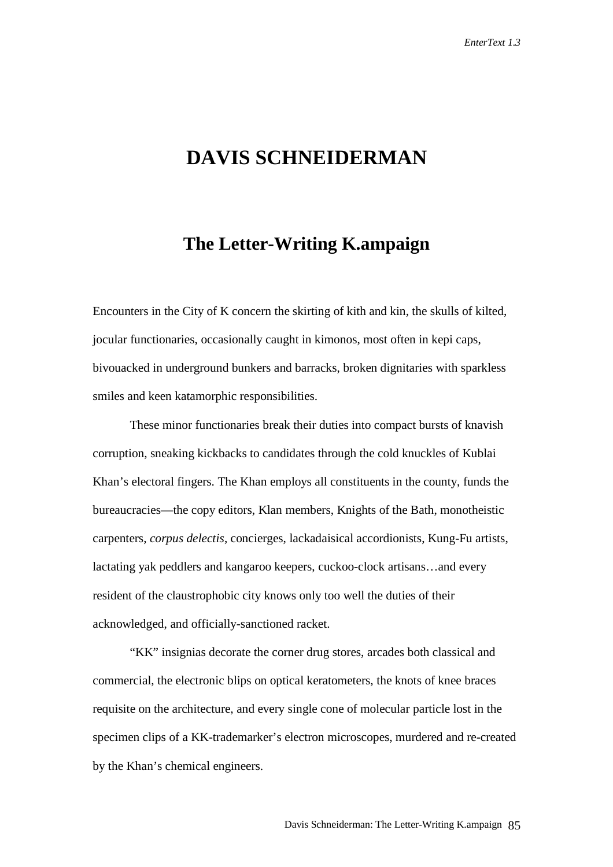## **DAVIS SCHNEIDERMAN**

## **The Letter-Writing K.ampaign**

Encounters in the City of K concern the skirting of kith and kin, the skulls of kilted, jocular functionaries, occasionally caught in kimonos, most often in kepi caps, bivouacked in underground bunkers and barracks, broken dignitaries with sparkless smiles and keen katamorphic responsibilities.

These minor functionaries break their duties into compact bursts of knavish corruption, sneaking kickbacks to candidates through the cold knuckles of Kublai Khan's electoral fingers. The Khan employs all constituents in the county, funds the bureaucracies—the copy editors, Klan members, Knights of the Bath, monotheistic carpenters, *corpus delectis*, concierges, lackadaisical accordionists, Kung-Fu artists, lactating yak peddlers and kangaroo keepers, cuckoo-clock artisans…and every resident of the claustrophobic city knows only too well the duties of their acknowledged, and officially-sanctioned racket.

"KK" insignias decorate the corner drug stores, arcades both classical and commercial, the electronic blips on optical keratometers, the knots of knee braces requisite on the architecture, and every single cone of molecular particle lost in the specimen clips of a KK-trademarker's electron microscopes, murdered and re-created by the Khan's chemical engineers.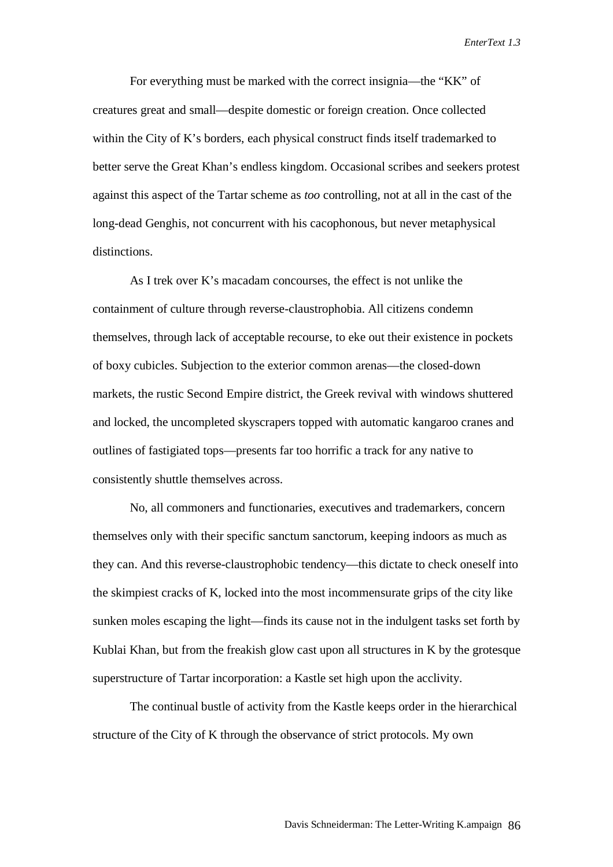For everything must be marked with the correct insignia—the "KK" of creatures great and small—despite domestic or foreign creation. Once collected within the City of K's borders, each physical construct finds itself trademarked to better serve the Great Khan's endless kingdom. Occasional scribes and seekers protest against this aspect of the Tartar scheme as *too* controlling, not at all in the cast of the long-dead Genghis, not concurrent with his cacophonous, but never metaphysical distinctions.

As I trek over K's macadam concourses, the effect is not unlike the containment of culture through reverse-claustrophobia. All citizens condemn themselves, through lack of acceptable recourse, to eke out their existence in pockets of boxy cubicles. Subjection to the exterior common arenas—the closed-down markets, the rustic Second Empire district, the Greek revival with windows shuttered and locked, the uncompleted skyscrapers topped with automatic kangaroo cranes and outlines of fastigiated tops—presents far too horrific a track for any native to consistently shuttle themselves across.

No, all commoners and functionaries, executives and trademarkers, concern themselves only with their specific sanctum sanctorum, keeping indoors as much as they can. And this reverse-claustrophobic tendency—this dictate to check oneself into the skimpiest cracks of K, locked into the most incommensurate grips of the city like sunken moles escaping the light—finds its cause not in the indulgent tasks set forth by Kublai Khan, but from the freakish glow cast upon all structures in K by the grotesque superstructure of Tartar incorporation: a Kastle set high upon the acclivity.

The continual bustle of activity from the Kastle keeps order in the hierarchical structure of the City of K through the observance of strict protocols. My own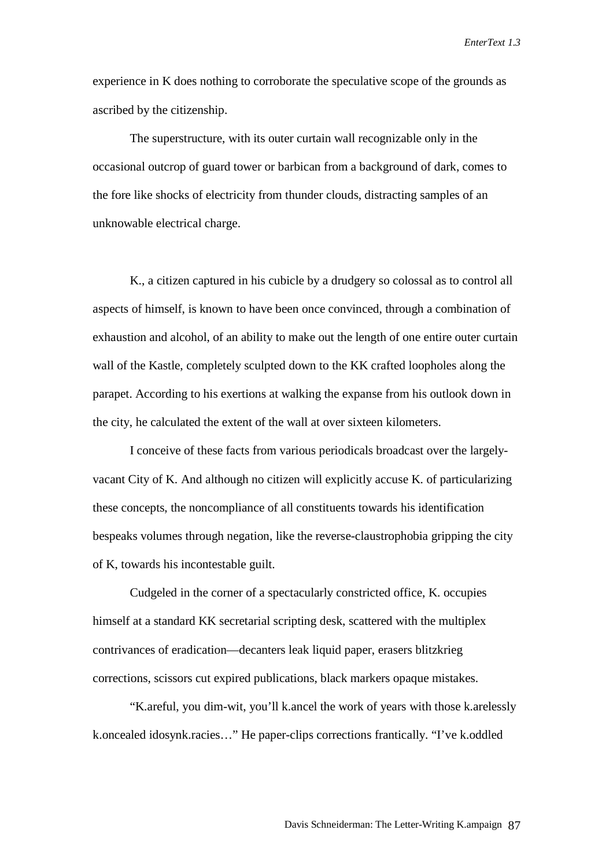experience in K does nothing to corroborate the speculative scope of the grounds as ascribed by the citizenship.

The superstructure, with its outer curtain wall recognizable only in the occasional outcrop of guard tower or barbican from a background of dark, comes to the fore like shocks of electricity from thunder clouds, distracting samples of an unknowable electrical charge.

K., a citizen captured in his cubicle by a drudgery so colossal as to control all aspects of himself, is known to have been once convinced, through a combination of exhaustion and alcohol, of an ability to make out the length of one entire outer curtain wall of the Kastle, completely sculpted down to the KK crafted loopholes along the parapet. According to his exertions at walking the expanse from his outlook down in the city, he calculated the extent of the wall at over sixteen kilometers.

I conceive of these facts from various periodicals broadcast over the largelyvacant City of K. And although no citizen will explicitly accuse K. of particularizing these concepts, the noncompliance of all constituents towards his identification bespeaks volumes through negation, like the reverse-claustrophobia gripping the city of K, towards his incontestable guilt.

Cudgeled in the corner of a spectacularly constricted office, K. occupies himself at a standard KK secretarial scripting desk, scattered with the multiplex contrivances of eradication—decanters leak liquid paper, erasers blitzkrieg corrections, scissors cut expired publications, black markers opaque mistakes.

"K.areful, you dim-wit, you'll k.ancel the work of years with those k.arelessly k.oncealed idosynk.racies…" He paper-clips corrections frantically. "I've k.oddled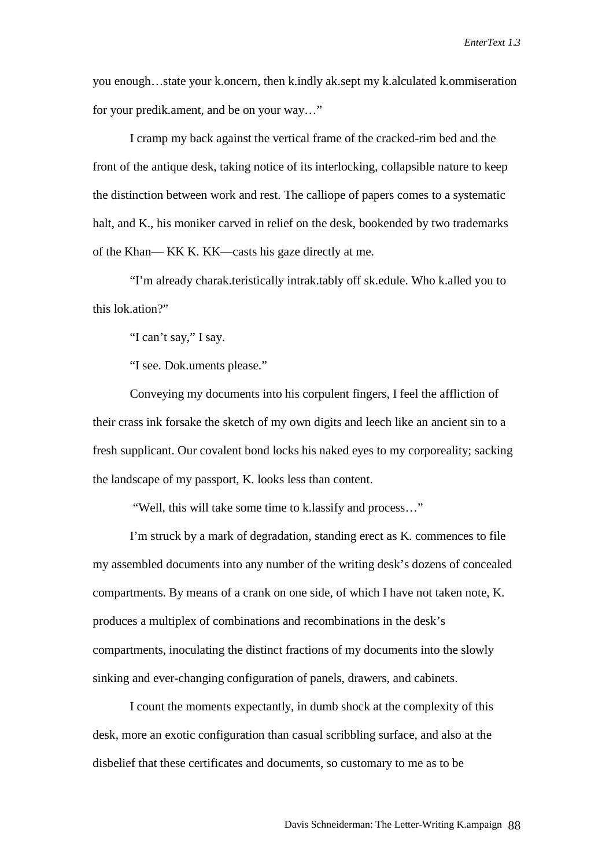you enough…state your k.oncern, then k.indly ak.sept my k.alculated k.ommiseration for your predik.ament, and be on your way…"

I cramp my back against the vertical frame of the cracked-rim bed and the front of the antique desk, taking notice of its interlocking, collapsible nature to keep the distinction between work and rest. The calliope of papers comes to a systematic halt, and K., his moniker carved in relief on the desk, bookended by two trademarks of the Khan— KK K. KK—casts his gaze directly at me.

"I'm already charak.teristically intrak.tably off sk.edule. Who k.alled you to this lok.ation?"

"I can't say," I say.

"I see. Dok.uments please."

Conveying my documents into his corpulent fingers, I feel the affliction of their crass ink forsake the sketch of my own digits and leech like an ancient sin to a fresh supplicant. Our covalent bond locks his naked eyes to my corporeality; sacking the landscape of my passport, K. looks less than content.

"Well, this will take some time to k.lassify and process…"

I'm struck by a mark of degradation, standing erect as K. commences to file my assembled documents into any number of the writing desk's dozens of concealed compartments. By means of a crank on one side, of which I have not taken note, K. produces a multiplex of combinations and recombinations in the desk's compartments, inoculating the distinct fractions of my documents into the slowly sinking and ever-changing configuration of panels, drawers, and cabinets.

I count the moments expectantly, in dumb shock at the complexity of this desk, more an exotic configuration than casual scribbling surface, and also at the disbelief that these certificates and documents, so customary to me as to be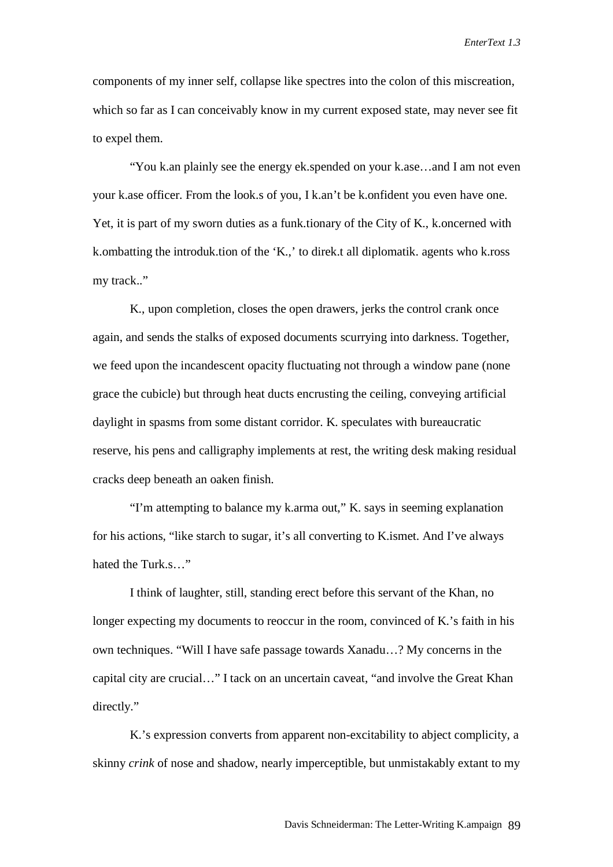components of my inner self, collapse like spectres into the colon of this miscreation, which so far as I can conceivably know in my current exposed state, may never see fit to expel them.

"You k.an plainly see the energy ek.spended on your k.ase…and I am not even your k.ase officer. From the look.s of you, I k.an't be k.onfident you even have one. Yet, it is part of my sworn duties as a funk.tionary of the City of K., k.oncerned with k.ombatting the introduk.tion of the 'K.,' to direk.t all diplomatik. agents who k.ross my track.."

K., upon completion, closes the open drawers, jerks the control crank once again, and sends the stalks of exposed documents scurrying into darkness. Together, we feed upon the incandescent opacity fluctuating not through a window pane (none grace the cubicle) but through heat ducts encrusting the ceiling, conveying artificial daylight in spasms from some distant corridor. K. speculates with bureaucratic reserve, his pens and calligraphy implements at rest, the writing desk making residual cracks deep beneath an oaken finish.

"I'm attempting to balance my k.arma out," K. says in seeming explanation for his actions, "like starch to sugar, it's all converting to K.ismet. And I've always hated the Turk.s…"

I think of laughter, still, standing erect before this servant of the Khan, no longer expecting my documents to reoccur in the room, convinced of K.'s faith in his own techniques. "Will I have safe passage towards Xanadu…? My concerns in the capital city are crucial…" I tack on an uncertain caveat, "and involve the Great Khan directly."

K.'s expression converts from apparent non-excitability to abject complicity, a skinny *crink* of nose and shadow, nearly imperceptible, but unmistakably extant to my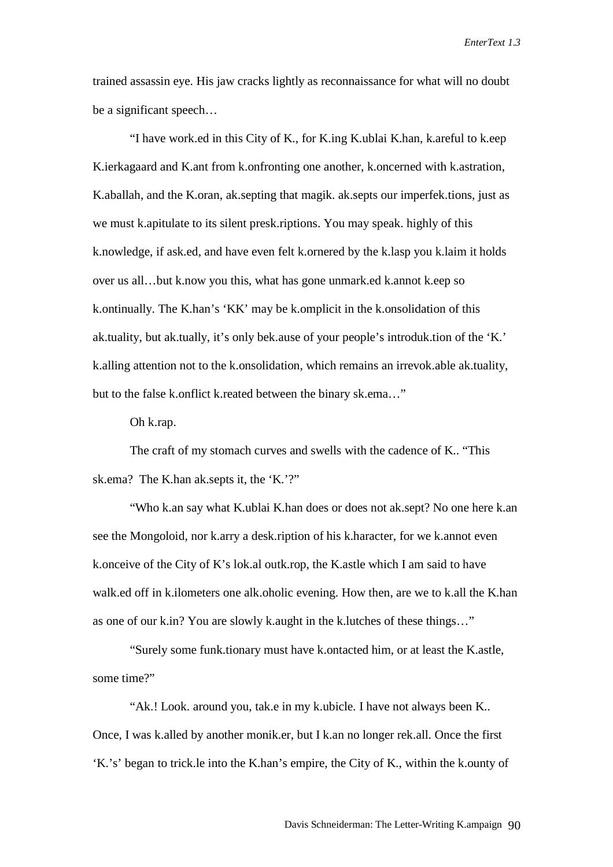trained assassin eye. His jaw cracks lightly as reconnaissance for what will no doubt be a significant speech…

"I have work.ed in this City of K., for K.ing K.ublai K.han, k.areful to k.eep K.ierkagaard and K.ant from k.onfronting one another, k.oncerned with k.astration, K.aballah, and the K.oran, ak.septing that magik. ak.septs our imperfek.tions, just as we must k.apitulate to its silent presk.riptions. You may speak. highly of this k.nowledge, if ask.ed, and have even felt k.ornered by the k.lasp you k.laim it holds over us all…but k.now you this, what has gone unmark.ed k.annot k.eep so k.ontinually. The K.han's 'KK' may be k.omplicit in the k.onsolidation of this ak.tuality, but ak.tually, it's only bek.ause of your people's introduk.tion of the 'K.' k.alling attention not to the k.onsolidation, which remains an irrevok.able ak.tuality, but to the false k.onflict k.reated between the binary sk.ema…"

Oh k.rap.

The craft of my stomach curves and swells with the cadence of K.. "This sk.ema? The K.han ak.septs it, the 'K.'?"

"Who k.an say what K.ublai K.han does or does not ak.sept? No one here k.an see the Mongoloid, nor k.arry a desk.ription of his k.haracter, for we k.annot even k.onceive of the City of K's lok.al outk.rop, the K.astle which I am said to have walk.ed off in k.ilometers one alk.oholic evening. How then, are we to k.all the K.han as one of our k.in? You are slowly k.aught in the k.lutches of these things…"

"Surely some funk.tionary must have k.ontacted him, or at least the K.astle, some time?"

"Ak.! Look. around you, tak.e in my k.ubicle. I have not always been K.. Once, I was k.alled by another monik.er, but I k.an no longer rek.all. Once the first 'K.'s' began to trick.le into the K.han's empire, the City of K., within the k.ounty of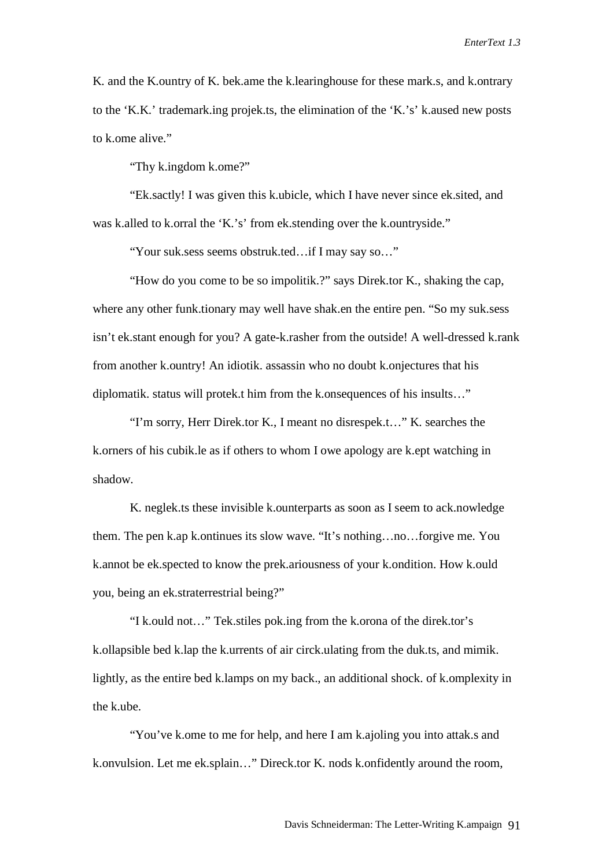K. and the K.ountry of K. bek.ame the k.learinghouse for these mark.s, and k.ontrary to the 'K.K.' trademark.ing projek.ts, the elimination of the 'K.'s' k.aused new posts to k.ome alive."

"Thy k.ingdom k.ome?"

"Ek.sactly! I was given this k.ubicle, which I have never since ek.sited, and was k.alled to k.orral the 'K.'s' from ek.stending over the k.ountryside."

"Your suk.sess seems obstruk.ted…if I may say so…"

"How do you come to be so impolitik.?" says Direk.tor K., shaking the cap, where any other funk.tionary may well have shak.en the entire pen. "So my suk.sess" isn't ek.stant enough for you? A gate-k.rasher from the outside! A well-dressed k.rank from another k.ountry! An idiotik. assassin who no doubt k.onjectures that his diplomatik. status will protek.t him from the k.onsequences of his insults…"

"I'm sorry, Herr Direk.tor K., I meant no disrespek.t…" K. searches the k.orners of his cubik.le as if others to whom I owe apology are k.ept watching in shadow.

K. neglek.ts these invisible k.ounterparts as soon as I seem to ack.nowledge them. The pen k.ap k.ontinues its slow wave. "It's nothing…no…forgive me. You k.annot be ek.spected to know the prek.ariousness of your k.ondition. How k.ould you, being an ek.straterrestrial being?"

"I k.ould not…" Tek.stiles pok.ing from the k.orona of the direk.tor's k.ollapsible bed k.lap the k.urrents of air circk.ulating from the duk.ts, and mimik. lightly, as the entire bed k.lamps on my back., an additional shock. of k.omplexity in the k ube.

"You've k.ome to me for help, and here I am k.ajoling you into attak.s and k.onvulsion. Let me ek.splain…" Direck.tor K. nods k.onfidently around the room,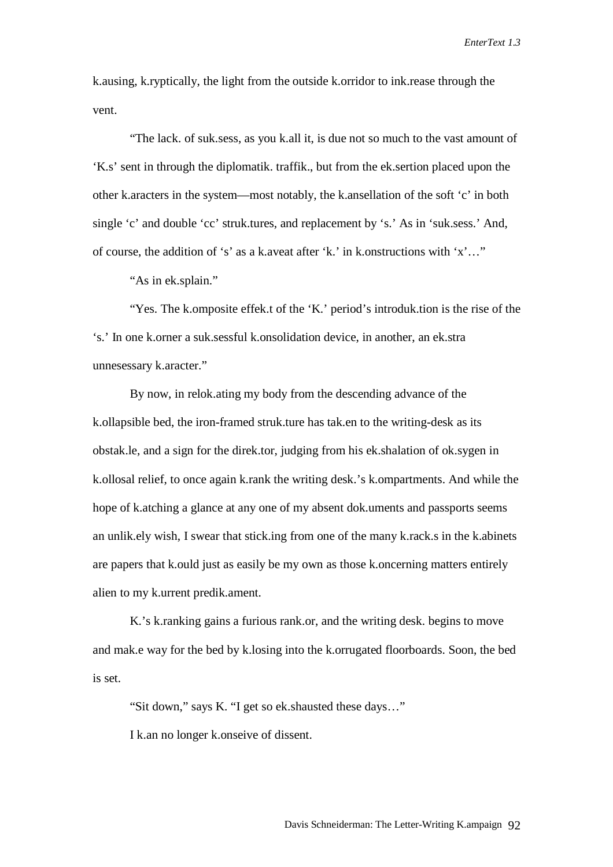k.ausing, k.ryptically, the light from the outside k.orridor to ink.rease through the vent.

"The lack. of suk.sess, as you k.all it, is due not so much to the vast amount of 'K.s' sent in through the diplomatik. traffik., but from the ek.sertion placed upon the other k.aracters in the system—most notably, the k.ansellation of the soft 'c' in both single 'c' and double 'cc' struk.tures, and replacement by 's.' As in 'suk.sess.' And, of course, the addition of 's' as a k.aveat after 'k.' in k.onstructions with 'x'…"

"As in ek.splain."

"Yes. The k.omposite effek.t of the 'K.' period's introduk.tion is the rise of the 's.' In one k.orner a suk.sessful k.onsolidation device, in another, an ek.stra unnesessary k.aracter."

By now, in relok.ating my body from the descending advance of the k.ollapsible bed, the iron-framed struk.ture has tak.en to the writing-desk as its obstak.le, and a sign for the direk.tor, judging from his ek.shalation of ok.sygen in k.ollosal relief, to once again k.rank the writing desk.'s k.ompartments. And while the hope of k.atching a glance at any one of my absent dok.uments and passports seems an unlik.ely wish, I swear that stick.ing from one of the many k.rack.s in the k.abinets are papers that k.ould just as easily be my own as those k.oncerning matters entirely alien to my k.urrent predik.ament.

K.'s k.ranking gains a furious rank.or, and the writing desk. begins to move and mak.e way for the bed by k.losing into the k.orrugated floorboards. Soon, the bed is set.

"Sit down," says K. "I get so ek.shausted these days…"

I k.an no longer k.onseive of dissent.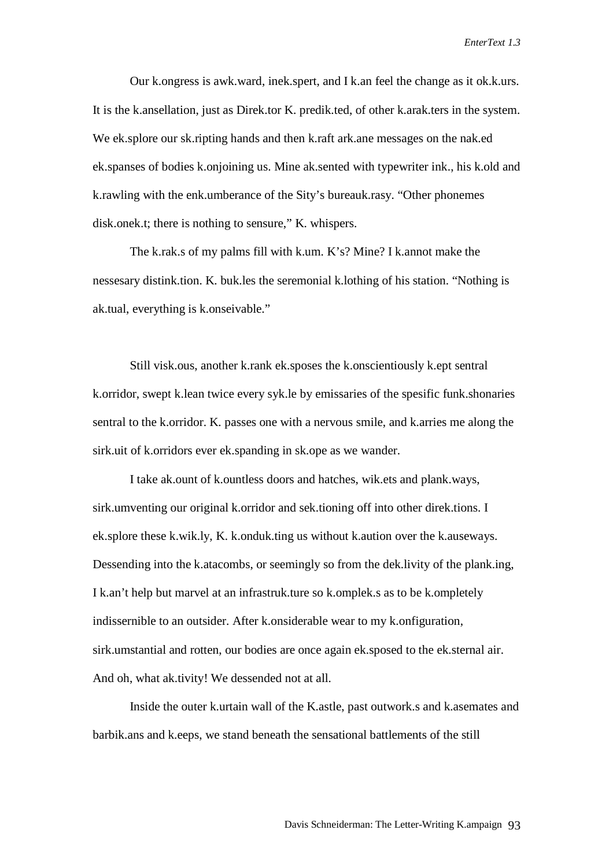Our k.ongress is awk.ward, inek.spert, and I k.an feel the change as it ok.k.urs. It is the k.ansellation, just as Direk.tor K. predik.ted, of other k.arak.ters in the system. We ek.splore our sk.ripting hands and then k.raft ark.ane messages on the nak.ed ek.spanses of bodies k.onjoining us. Mine ak.sented with typewriter ink., his k.old and k.rawling with the enk.umberance of the Sity's bureauk.rasy. "Other phonemes disk.onek.t; there is nothing to sensure," K. whispers.

The k.rak.s of my palms fill with k.um. K's? Mine? I k.annot make the nessesary distink.tion. K. buk.les the seremonial k.lothing of his station. "Nothing is ak.tual, everything is k.onseivable."

Still visk.ous, another k.rank ek.sposes the k.onscientiously k.ept sentral k.orridor, swept k.lean twice every syk.le by emissaries of the spesific funk.shonaries sentral to the k.orridor. K. passes one with a nervous smile, and k.arries me along the sirk.uit of k.orridors ever ek.spanding in sk.ope as we wander.

I take ak.ount of k.ountless doors and hatches, wik.ets and plank.ways, sirk.umventing our original k.orridor and sek.tioning off into other direk.tions. I ek.splore these k.wik.ly, K. k.onduk.ting us without k.aution over the k.auseways. Dessending into the k.atacombs, or seemingly so from the dek.livity of the plank.ing, I k.an't help but marvel at an infrastruk.ture so k.omplek.s as to be k.ompletely indissernible to an outsider. After k.onsiderable wear to my k.onfiguration, sirk.umstantial and rotten, our bodies are once again ek.sposed to the ek.sternal air. And oh, what ak.tivity! We dessended not at all.

Inside the outer k.urtain wall of the K.astle, past outwork.s and k.asemates and barbik.ans and k.eeps, we stand beneath the sensational battlements of the still